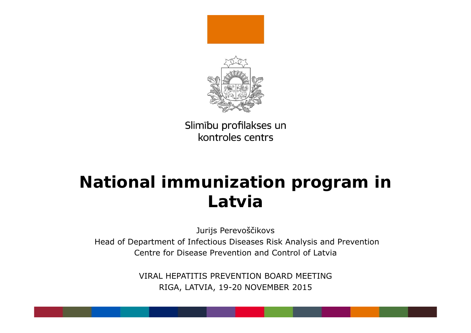

# **National immunization program in Latvia**

Jurijs Perevoš čikovs Head of Department of Infectious Diseases Risk Analysis and Prevention Centre for Disease Prevention and Control of Latvia

> VIRAL HEPATITIS PREVENTION BOARD MEETINGRIGA, LATVIA, 19-20 NOVEMBER 2015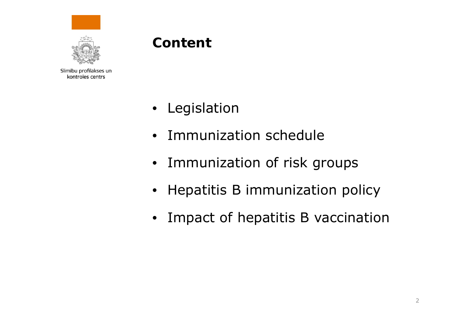



### **Content**

- $\bullet$ Legislation
- Immunization schedule
- Immunization of risk groups
- $\bullet$ Hepatitis B immunization policy
- $\bullet$ Impact of hepatitis B vaccination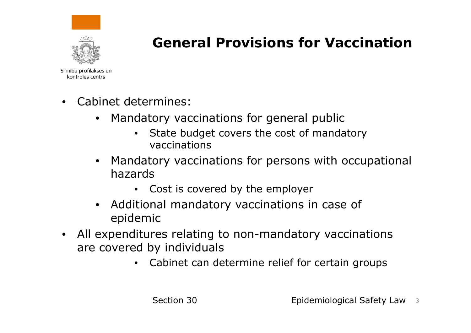

### **General Provisions for Vaccination**

- • Cabinet determines:
	- Mandatory vaccinations for general public
		- $\bullet$  State budget covers the cost of mandatory vaccinations
	- • Mandatory vaccinations for persons with occupational hazards
		- Cost is covered by the employer
	- Additional mandatory vaccinations in case of epidemic
- $\bullet$  All expenditures relating to non-mandatory vaccinations are covered by individuals
	- Cabinet can determine relief for certain groups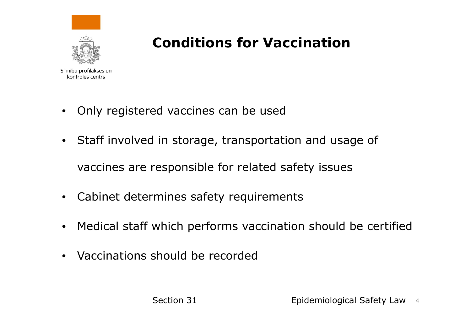

### **Conditions for Vaccination**

- •Only registered vaccines can be used
- Staff involved in storage, transportation and usage of vaccines are responsible for related safety issues
- $\bullet$ Cabinet determines safety requirements
- $\bullet$ Medical staff which performs vaccination should be certified
- Vaccinations should be recorded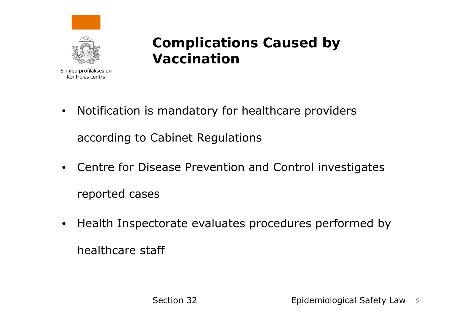



### **Complications Caused by Vaccination**

- $\bullet$  Notification is mandatory for healthcare providers according to Cabinet Regulations
- Centre for Disease Prevention and Control investigates reported cases
- $\bullet$  Health Inspectorate evaluates procedures performed by healthcare staff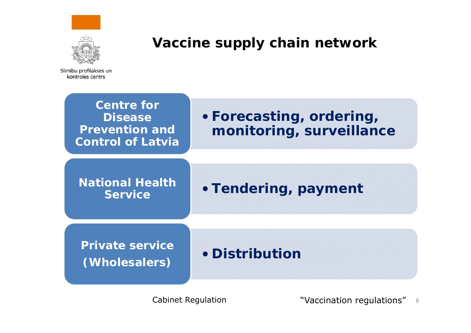



### **Vaccine supply chain network**

Slimību profilakses un kontroles centrs



Cabinet Regulation "Vaccination regulations" 6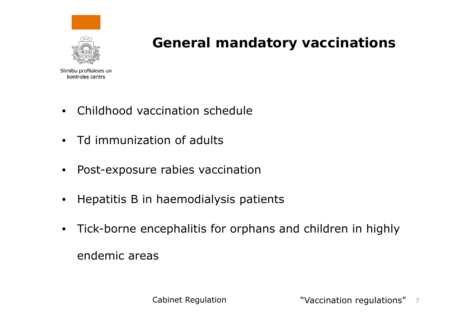

### **General mandatory vaccinations**

- $\bullet$ Childhood vaccination schedule
- Td immunization of adults
- $\bullet$ Post-exposure rabies vaccination
- $\bullet$ Hepatitis B in haemodialysis patients
- Tick-borne encephalitis for orphans and children in highly endemic areas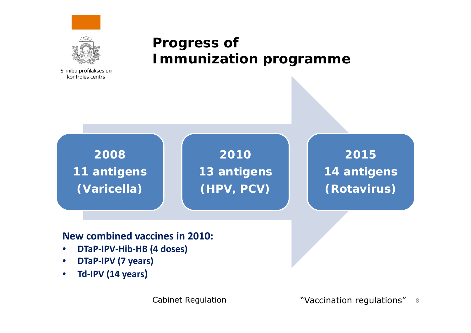



### **Progress of Immunization programme**



**2010 13 antigens (HPV, PCV)**

**2015 14 antigens (Rotavirus)**

#### **New combined vaccines in 2010:**

- $\bullet$ **DTaP‐IPV‐Hib‐HB (4 doses)**
- $\bullet$ **DTaP‐IPV (7 years)**
- $\bullet$ **Td‐IPV (14 years)**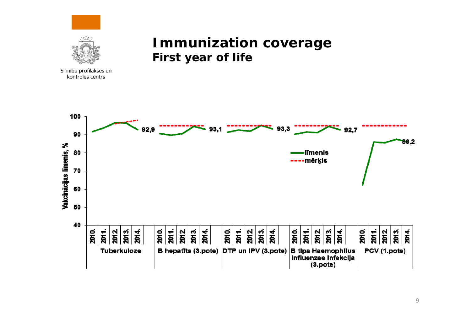



#### **Immunization coverage First year of life**

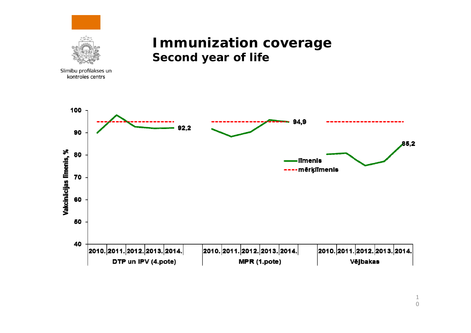

#### **Immunization coverage Second year of life**

100 94.9  $92,2$ 90  $85,2$ Vakcinācijas līmenis, % 80 **Ilmenis** ---- mērķiīmenis 70 60 50 40 |2010.|2011.|2012.|2013.|2014.| |2010.|2011.|2012.|2013.|2014.| |2010.|2011.|2012.|2013.|2014.| DTP un IPV (4.pote) Vējbakas MPR (1.pote)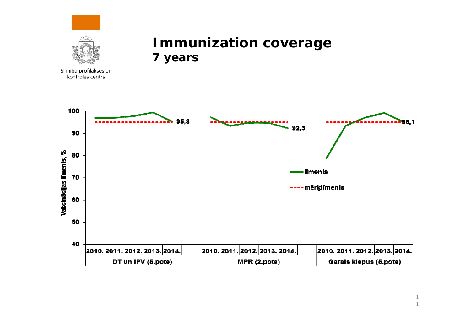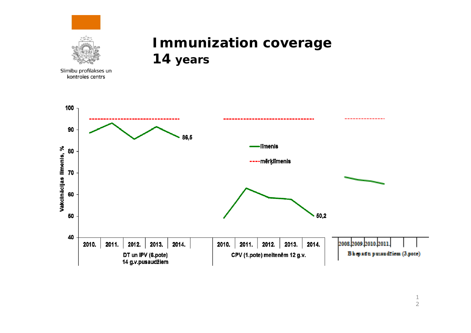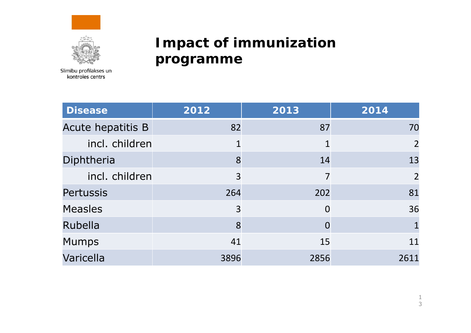



### **Impact of immunization programme**

| <b>Disease</b>    | 2012           | 2013     | 2014           |
|-------------------|----------------|----------|----------------|
| Acute hepatitis B | 82             | 87       | 70             |
| incl. children    | $\mathbf 1$    | 1        | $\overline{2}$ |
| Diphtheria        | 8              | 14       | 13             |
| incl. children    | 3              | 7        | $\overline{2}$ |
| <b>Pertussis</b>  | 264            | 202      | 81             |
| <b>Measles</b>    | $\overline{3}$ | $\Omega$ | 36             |
| Rubella           | 8              |          |                |
| <b>Mumps</b>      | 41             | 15       | 11             |
| Varicella         | 3896           | 2856     | 2611           |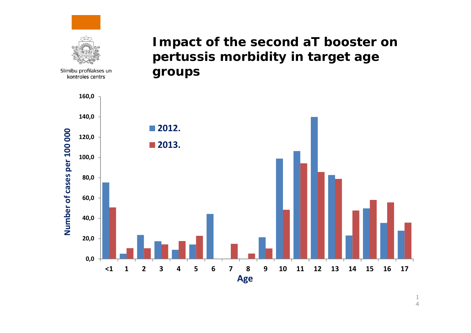

1 4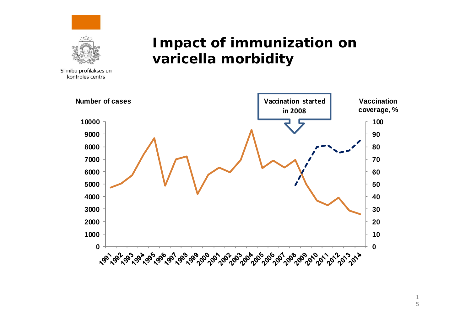



### **Impact of immunization on varicella morbidity**

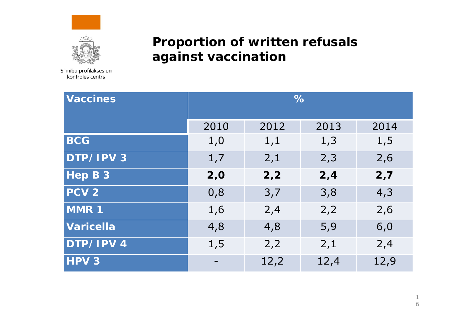



#### **Proportion of written refusals against vaccination**

| <b>Vaccines</b>  | $\%$ |      |      |      |
|------------------|------|------|------|------|
|                  | 2010 | 2012 | 2013 | 2014 |
| <b>BCG</b>       | 1,0  | 1,1  | 1,3  | 1, 5 |
| DTP/IPV 3        | 1,7  | 2,1  | 2,3  | 2,6  |
| Hep B 3          | 2,0  | 2,2  | 2,4  | 2,7  |
| PCV <sub>2</sub> | 0,8  | 3,7  | 3,8  | 4,3  |
| MMR 1            | 1,6  | 2,4  | 2,2  | 2,6  |
| <b>Varicella</b> | 4,8  | 4,8  | 5,9  | 6,0  |
| DTP/IPV 4        | 1, 5 | 2,2  | 2,1  | 2,4  |
| HPV <sub>3</sub> |      | 12,2 | 12,4 | 12,9 |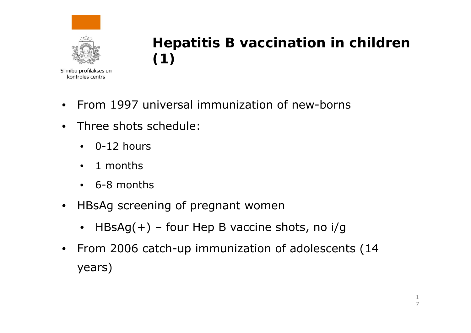



## **Hepatitis B vaccination in children (1)**

- $\bullet$ • From 1997 universal immunization of new-borns
- $\bullet$  Three shots schedule:
	- 0-12 hours
	- $\bullet$ 1 months
	- 6-8 months
- $\bullet$  HBsAg screening of pregnant women
	- HBsAg(+) four Hep B vaccine shots, no i/g
- $\bullet$  From 2006 catch-up immunization of adolescents (14 years)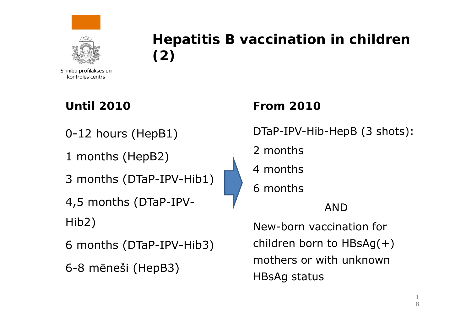



### **Hepatitis B vaccination in children (2)**

Slimību profilakses un kontroles centrs

#### **Until 2010**

0-12 hours (HepB1)

1 months (HepB2)

3 months (DTaP-IPV-Hib1)

4,5 months (DTaP-IPV-Hib2)

6 months (DTaP-IPV-Hib3)

6-8 m ēneši (HepB3)

#### **From 2010**

DTaP-IPV-Hib-HepB (3 shots):

2 months

4 months

6 months

AND

New-born vaccination for children born to HBsAg(+) mothers or with unknown HBsAg status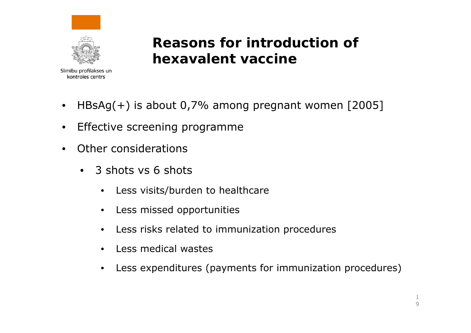



**Reasons for introduction of hexavalent vaccine**

- $\bullet$ HBsAg(+) is about 0,7% among pregnant women [2005]
- $\bullet$ Effective screening programme
- • Other considerations
	- $\bullet$  3 shots vs 6 shots
		- $\bullet$ Less visits/burden to healthcare
		- •Less missed opportunities
		- •Less risks related to immunization procedures
		- •Less medical wastes
		- $\bullet$ Less expenditures (payments for immunization procedures)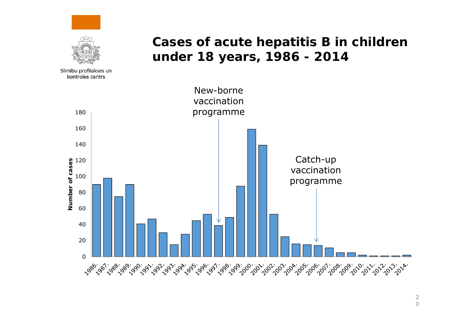

#### **Cases of acute hepatitis B in children under 18 years, 1986 - 2014**



2 0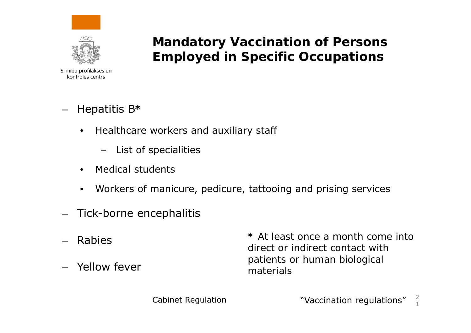



#### **Mandatory Vaccination of Persons Employed in Specific Occupations**

Slimību profilakses un kontroles centrs

- Hepatitis B<sup>,</sup>
	- • Healthcare workers and auxiliary staff
		- List of specialities
	- •Medical students
	- •Workers of manicure, pedicure, tattooing and prising services
- Tick-borne encephalitis
- Rabies
- Yellow fever

**\*** *At least once a month come into direct or indirect contact with patients or human biological materials*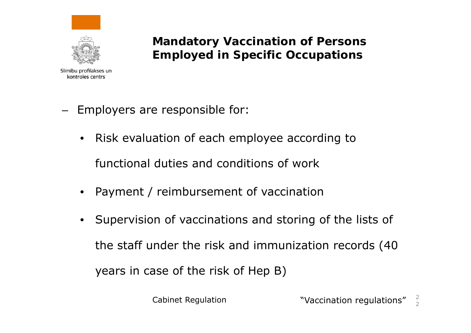

**Mandatory Vaccination of Persons Employed in Specific Occupations**

- –- Employers are responsible for:
	- Risk evaluation of each employee according to functional duties and conditions of work
	- •Payment / reimbursement of vaccination
	- Supervision of vaccinations and storing of the lists of the staff under the risk and immunization records (40 years in case of the risk of Hep B)